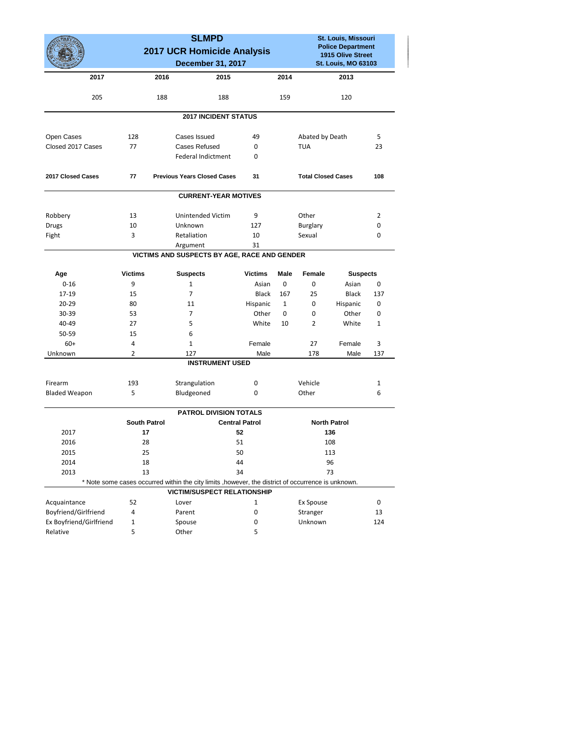|                         |                                                 | <b>SLMPD</b>                                                                                        |                       |              |                                                                             | St. Louis, Missouri |                 |  |
|-------------------------|-------------------------------------------------|-----------------------------------------------------------------------------------------------------|-----------------------|--------------|-----------------------------------------------------------------------------|---------------------|-----------------|--|
|                         | 2017 UCR Homicide Analysis<br>December 31, 2017 |                                                                                                     |                       |              | <b>Police Department</b><br>1915 Olive Street<br><b>St. Louis, MO 63103</b> |                     |                 |  |
|                         |                                                 |                                                                                                     |                       |              |                                                                             |                     |                 |  |
|                         |                                                 |                                                                                                     |                       |              |                                                                             |                     |                 |  |
| 2017                    |                                                 | 2016<br>2015                                                                                        |                       | 2014         |                                                                             | 2013                |                 |  |
| 205                     |                                                 | 188<br>188                                                                                          |                       | 159          |                                                                             | 120                 |                 |  |
|                         |                                                 | <b>2017 INCIDENT STATUS</b>                                                                         |                       |              |                                                                             |                     |                 |  |
| Open Cases              | 128                                             | Cases Issued                                                                                        | 49                    |              | Abated by Death                                                             |                     | 5               |  |
| Closed 2017 Cases       | 77                                              | <b>Cases Refused</b>                                                                                | 0                     |              | <b>TUA</b>                                                                  |                     | 23              |  |
|                         |                                                 | <b>Federal Indictment</b>                                                                           | 0                     |              |                                                                             |                     |                 |  |
| 2017 Closed Cases       | 77                                              | <b>Previous Years Closed Cases</b>                                                                  | 31                    |              | <b>Total Closed Cases</b>                                                   |                     | 108             |  |
|                         |                                                 | <b>CURRENT-YEAR MOTIVES</b>                                                                         |                       |              |                                                                             |                     |                 |  |
| Robbery                 | 13                                              | Unintended Victim                                                                                   | 9                     |              | Other                                                                       |                     | 2               |  |
| <b>Drugs</b>            | 10                                              | Unknown                                                                                             | 127                   |              | Burglary                                                                    |                     | 0               |  |
| Fight                   | 3                                               | Retaliation                                                                                         | 10                    |              | Sexual                                                                      |                     | 0               |  |
|                         |                                                 | Argument                                                                                            | 31                    |              |                                                                             |                     |                 |  |
|                         |                                                 | VICTIMS AND SUSPECTS BY AGE, RACE AND GENDER                                                        |                       |              |                                                                             |                     |                 |  |
| Age                     | <b>Victims</b>                                  | <b>Suspects</b>                                                                                     | <b>Victims</b>        | <b>Male</b>  | Female                                                                      |                     | <b>Suspects</b> |  |
| $0 - 16$                | 9                                               | $\mathbf{1}$                                                                                        | Asian                 | $\mathbf 0$  | 0                                                                           | Asian               | 0               |  |
| 17-19                   | 15                                              | $\overline{7}$                                                                                      | <b>Black</b>          | 167          | 25                                                                          | Black               | 137             |  |
| $20 - 29$               | 80                                              | 11                                                                                                  | Hispanic              | $\mathbf{1}$ | 0                                                                           | Hispanic            | 0               |  |
| 30-39                   | 53                                              | $\overline{7}$                                                                                      | Other                 | 0            | 0                                                                           | Other               | 0               |  |
| 40-49                   | 27                                              | 5                                                                                                   | White                 | 10           | 2                                                                           | White               | 1               |  |
| 50-59                   | 15                                              | 6                                                                                                   |                       |              |                                                                             |                     |                 |  |
| $60+$                   | 4                                               | $\mathbf{1}$                                                                                        | Female                |              | 27                                                                          | Female              | 3               |  |
| Unknown                 | 2                                               | 127                                                                                                 | Male                  |              | 178                                                                         | Male                | 137             |  |
|                         |                                                 | <b>INSTRUMENT USED</b>                                                                              |                       |              |                                                                             |                     |                 |  |
| Firearm                 | 193                                             | Strangulation                                                                                       | 0                     |              | Vehicle                                                                     |                     | 1               |  |
| <b>Bladed Weapon</b>    | 5                                               | Bludgeoned                                                                                          | 0                     |              | Other                                                                       |                     | 6               |  |
|                         |                                                 | <b>PATROL DIVISION TOTALS</b>                                                                       |                       |              |                                                                             |                     |                 |  |
|                         | <b>South Patrol</b>                             |                                                                                                     | <b>Central Patrol</b> |              | <b>North Patrol</b>                                                         |                     |                 |  |
| 2017                    | 17                                              |                                                                                                     | 52                    |              |                                                                             | 136                 |                 |  |
| 2016                    | 28                                              |                                                                                                     | 51<br>108             |              |                                                                             |                     |                 |  |
| 2015                    | 25                                              |                                                                                                     | 50                    |              | 113                                                                         |                     |                 |  |
| 2014                    | 18                                              |                                                                                                     | 44                    |              | 96                                                                          |                     |                 |  |
| 2013                    | 13                                              |                                                                                                     | 34                    |              | 73                                                                          |                     |                 |  |
|                         |                                                 | * Note some cases occurred within the city limits , however, the district of occurrence is unknown. |                       |              |                                                                             |                     |                 |  |
|                         |                                                 | <b>VICTIM/SUSPECT RELATIONSHIP</b>                                                                  |                       |              |                                                                             |                     |                 |  |
| Acquaintance            | 52                                              | Lover                                                                                               | $\mathbf{1}$          |              | Ex Spouse                                                                   |                     | 0               |  |
| Boyfriend/Girlfriend    | 4                                               | Parent                                                                                              | 0                     |              | Stranger                                                                    |                     | 13              |  |
| Ex Boyfriend/Girlfriend | $\mathbf{1}$                                    | Spouse                                                                                              | $\pmb{0}$             |              | Unknown                                                                     |                     | 124             |  |
| Relative                | 5                                               | Other                                                                                               | 5                     |              |                                                                             |                     |                 |  |